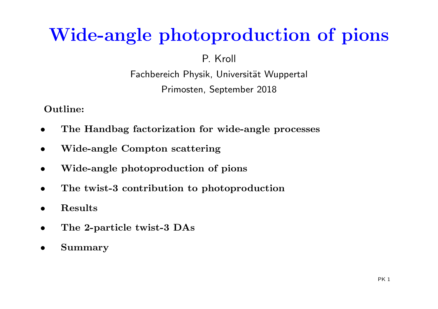# Wide-angle <sup>p</sup>hotoproduction of <sup>p</sup>ions

P. Kroll

Fachbereich Physik, Universität Wuppertal Primosten, September <sup>2018</sup>

Outline:

- •The Handbag factorization for wide-angle processes
- •Wide-angle Compton scattering
- •Wide-angle <sup>p</sup>hotoproduction of <sup>p</sup>ions
- •The twist-3 contribution to <sup>p</sup>hotoproduction
- •Results
- •The 2-particle twist-3 DAs
- •Summary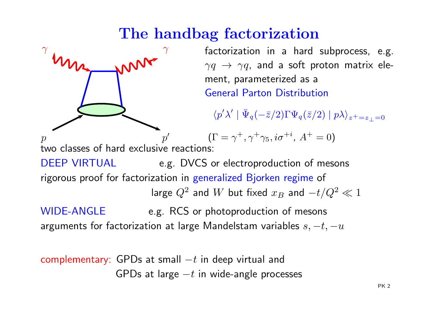# The handbag factorization



WIDE-ANGLE e.g. RCS or photoproduction of mesons arguments for factorization at large Mandelstam variables  $s, -t, -u$ 

complementary: GPDs at small  $-t$  in deep virtual and GPDs at large  $-t$  in wide-angle processes  $^2\ll1$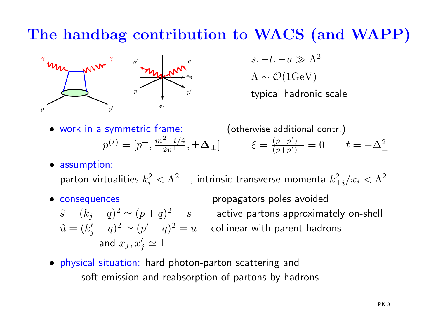# The handbag contribution to WACS (and WAPP)



 $s,-t,-u\gg \Lambda^2$  $\Lambda \sim \mathcal{O}(1{\rm GeV})$ typical hadronic scale

- work in <sup>a</sup> symmetric frame: (otherwise additional contr. ) $p^{(\prime)} = [p^+$ , $m^2$  $\frac{2-t}{2}$ 4 $2p^+$  $\frac{-(t/4)}{t}$ ,  $\pm \mathbf{\Delta}_\perp$ ]  $\xi = \frac{(p}{(p)}$  $\frac{p}{2}$ ′ )  $\, + \,$  $\frac{(p-p^r)^+}{(p+p')^+}=0 \qquad t=-\Delta_\perp^2$ ⊥
- assumption:

parton virtualities  $k_i^2$  $\hat{i}_i^2<\Lambda^2$  ), intrinsic transverse momenta  $k_\perp^2$  $\frac{2}{\perp i}/x_i < \Lambda^2$ 

• consequences

 $\hat{s}=(k_j+q)^2\simeq (p+q)^2=s$  active partons approxim  $\hat{u} = (k'_j - q)^2 \simeq (p' - q)^2$  $2 \simeq (p+q)^2$ and  $x_j , x'_j \simeq 1$  $2\simeq (p'-q)^2$ 

propagators poles avoided  $z^2=s$  active partons approximately on-shell  $z^2=u$  collinear with parent hadrons

• physical situation: hard photon-parton scattering andsoft emission and reabsorption of partons by hadrons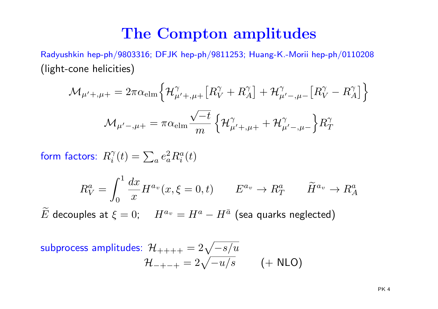#### The Compton amplitudes

Radyushkin hep-ph/9803316; DFJK hep-ph/9811253; Huang-K.-Morii hep-ph/0110208(light-cone helicities)

$$
\mathcal{M}_{\mu'+,\mu+} = 2\pi \alpha_{\text{elm}} \left\{ \mathcal{H}_{\mu'+,\mu+}^{\gamma} \left[ R_V^{\gamma} + R_A^{\gamma} \right] + \mathcal{H}_{\mu'-,\mu-}^{\gamma} \left[ R_V^{\gamma} - R_A^{\gamma} \right] \right\}
$$

$$
\mathcal{M}_{\mu'-,\mu+} = \pi \alpha_{\text{elm}} \frac{\sqrt{-t}}{m} \left\{ \mathcal{H}_{\mu'+,\mu+}^{\gamma} + \mathcal{H}_{\mu'-,\mu-}^{\gamma} \right\} R_T^{\gamma}
$$

form factors:  $R_i^{\gamma}(t)=\sum_a e_a^2$  $^2_aR^a_i$  $\frac{a}{i}(t)$ 

$$
R_V^a = \int_0^1 \frac{dx}{x} H^{a_v}(x, \xi = 0, t) \qquad E^{a_v} \to R_T^a \qquad \widetilde{H}^{a_v} \to R_A^a
$$

 $\widetilde{E}$  decouples at  $\xi=0; \quad H^a$  $\mathbf{w}_v$  $v=H^a$  $^a-H^{\bar{a}}$  (sea quarks neglected)

subprocess amplitudes: 
$$
\mathcal{H}_{+++} = 2\sqrt{-s/u}
$$
  
 $\mathcal{H}_{-+-+} = 2\sqrt{-u/s}$  (+ NLO)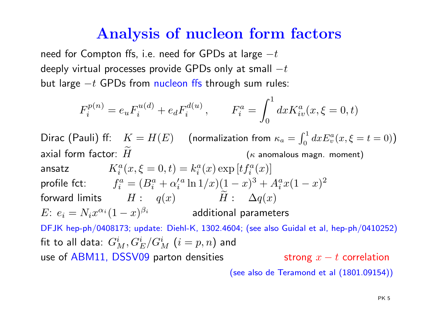#### Analysis of nucleon form factors

need for Compton ffs, i.e. need for GPDs at large  $-t$  deeply virtual processes provide GPDs only at small  $-t$ but large  $-t$  GPDs from nucleon ffs through sum rul  $-t$  GPDs from nucleon ffs through sum rules:

$$
F_i^{p(n)} = e_u F_i^{u(d)} + e_d F_i^{d(u)}, \qquad F_i^a = \int_0^1 dx K_{iv}^a(x, \xi = 0, t)
$$

 $\mathsf{Dirac}\,\,(\mathsf{Pauli})\,\,\mathsf{ff}\colon\;\; K=H(E)\quad\,(\text{\rm normalization from}\,\,\kappa_a=\,$ axial form factor:  $\widetilde{H}$  (<sup>κ</sup> anomalous magn. moment)  $\int_0^1$  $\int_0^1 dx E_v^a$  $v_v^a(x,\xi=t=0)$ ansatz $K^a_\cdot$ profile fct:  $f^a_i = (B^a_i + \alpha^{\prime\,a}_i \ln 1/x) (1-x)^3$  $i_a^a(x,\xi=0,t) = k_i^a$  $_{i}^{a}(x)\exp\left[ tf_{i}^{a}\right]$  $\binom{a}{i}(x)$ forward limits  $H: q(x)$   $\widetilde{H}: \Delta q(x)$  $i^a_i = (B_i^a)$  $\alpha_i^a+\alpha_i^{\prime}$  $a \ln 1/x)$ (1  $(-x)^3$  $^3+A_i^a$  $\frac{a}{i}x(1$  $(x)^2$  $E\colon\, e_i = N_i x^{\alpha_i} (1-x)^{\beta_i}$  additional param DFJK hep-ph/0408173; update: Diehl-K, 1302.4604; (see also Guidal et al, hep-ph/0410252)  $(-x)^{\beta_i}$  additional parameters fit to all data:  $G^i_M,G^i_E/G^i_M$   $(i=p,n)$  and use of ABM11, DSSV09 parton densities strong  $x-t$  correlation

(see also de Teramond et al (1801.09154))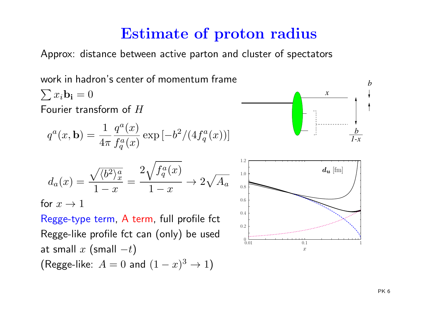### Estimate of proton radius

Approx: distance between active parton and cluster of spectators

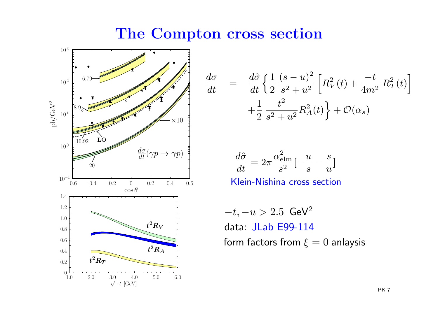The Compton cross section

 $dt \$ 



$$
\frac{d\sigma}{dt} = \frac{d\hat{\sigma}}{dt} \left\{ \frac{1}{2} \frac{(s-u)^2}{s^2 + u^2} \left[ R_V^2(t) + \frac{-t}{4m^2} R_T^2(t) \right] + \frac{1}{2} \frac{t^2}{s^2 + u^2} R_A^2(t) \right\} + \mathcal{O}(\alpha_s)
$$

$$
\frac{d\hat{\sigma}}{dt} = 2\pi \frac{\alpha_{\text{elm}}^2}{s^2} \left[ -\frac{u}{s} - \frac{s}{u} \right]
$$

Klein-Nishina cross section

 $-t,-u > 2.5$  GeV $^2$  data: JLab E99-114 form factors from  $\xi=0$  anlaysis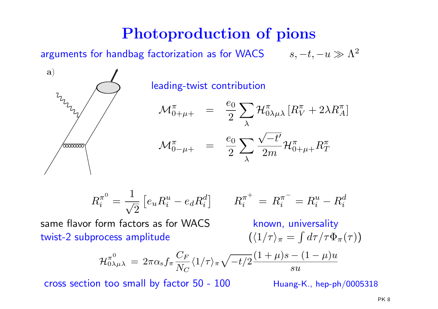# Photoproduction of <sup>p</sup>ions

arguments for handbag factorization as for WACS  $\qquad \, s, -t, -u \gg \Lambda^2$ 

leading-twist contribution

$$
\mathcal{M}_{0+\mu+}^{\pi} = \frac{e_0}{2} \sum_{\lambda} \mathcal{H}_{0\lambda\mu\lambda}^{\pi} \left[ R_V^{\pi} + 2\lambda R_A^{\pi} \right]
$$

$$
\mathcal{M}_{0-\mu+}^{\pi} = \frac{e_0}{2} \sum_{\lambda} \frac{\sqrt{-t'}}{2m} \mathcal{H}_{0+\mu+}^{\pi} R_T^{\pi}
$$

$$
R_i^{\pi^0} = \frac{1}{\sqrt{2}} \left[ e_u R_i^u - e_d R_i^d \right] \qquad R_i^{\pi^+} = R_i^{\pi^-} = R_i^u - R_i^d
$$

 same flavor form factors as for WACStwist-2 subprocess amplitude

a)

60000000

 known, universality  $(\langle 1/\tau \rangle_\pi=$  $\int d\tau / \tau \Phi_{\pi} (\tau) )$ 

$$
\mathcal{H}_{0\lambda\mu\lambda}^{\pi^0} = 2\pi\alpha_{\rm s}f_{\pi} \frac{C_F}{N_C} \langle 1/\tau \rangle_{\pi} \sqrt{-t/2} \frac{(1+\mu)s - (1-\mu)u}{su}
$$

cross section too small by factor  $50 - 100$  Huang-K., hep-ph/0005318

 $\it i$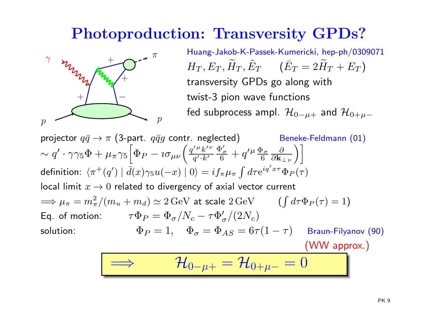### Photoproduction: Transversity GPDs?



 Huang-Jakob-K-Passek-Kumericki, hep-ph/0309071  $H_T, E_T$  transversity GPDs go along with $r, \widetilde{H}$  $\, T \,$  $\tilde{T},\tilde{E}$  $T\qquad (\bar{E}_T = 2 \widetilde{H}_T + E_T)$ twist-3 pion wave functions fed subprocess ampl.  $\mathcal{H}_{0-\mu+}$  $_+$  and  ${\cal H}_{0+\mu-}$ 

projector  $q\bar{q}\rightarrow\pi$  (3-part.  $q\bar{q}g$  contr. neglected) Beneke-Feldmann (01)  $\sim q' \cdot \gamma \gamma_5 \Phi$ definition:  $\langle \pi^+(q') \mid \bar{d}(x)\gamma_5 u(-x) \mid 0 \rangle = i f_\pi \mu_\pi \int d\tau \mathrm{e}^{i q' x \tau}$  $^\prime\cdot\gamma\gamma_5\Phi+\mu_\pi\gamma_5$  $\sqrt{\phantom{a}}$  $\Phi_P-\imath\sigma_{\mu\nu}\Big($  $\overline{q}$  $^{\prime\,\mu}k$ ′ν $q^{\prime}\!\cdot\! k^{\prime}$ Φ′ σ $\frac{\sigma}{6}+q$  $\mu$ Φσ 6∂ $\frac{\partial}{\partial \mathbf{k_{\perp}}_\nu} \bigg) \bigg]$ local limit  $x\to 0$  related to divergency of axial vector current  ${}^\tau \Phi_P(\tau)$  $\Longrightarrow \mu_{\pi}=m_{\pi}^{2}$ Eq. of motion:  $\tau \Phi_P = \Phi_\sigma / N_c$  $\frac{2}{\pi}/(m_u+m_d)\simeq 2\,\text{GeV}$  at scale  $2\,\text{GeV}$   $(\int d\tau \Phi_P(\tau)=1)$ :  $\Phi_P = 1, \quad \Phi_\sigma = \Phi_{AS} = 0$  $-\,\tau \Phi_{\sigma}^{\prime}/(2N_c)$ solution:σ $\sigma = \Phi_{AS} = 6\tau(1$  $-\tau)$  Braun-Filyanov (90)

(WW approx.)

$$
\boxed{\implies \qquad \mathcal{H}_{0-\mu+}=\mathcal{H}_{0+\mu-}=0}
$$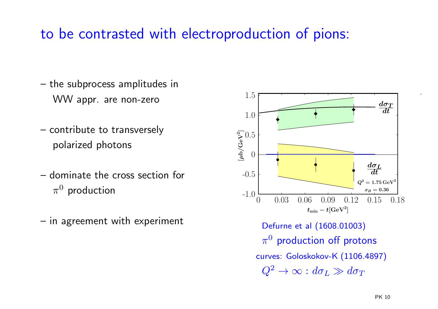### to be contrasted with electroproduction of pions:

- the subprocess amplitudes inWW appr. are non-zero
- contribute to transversely polarized photons
- – dominate the cross section for  $\pi^0$  production
- –in agreement with experiment

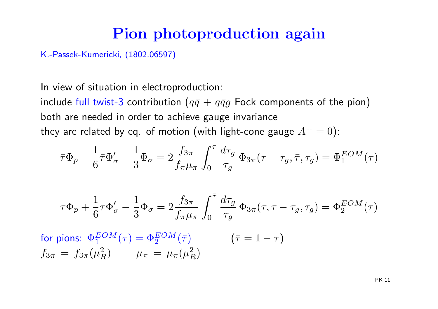#### Pion <sup>p</sup>hotoproduction again

K.-Passek-Kumericki, (1802.06597)

In view of situation in electroproduction:

include full twist-3 contribution  $(q\bar{q}\,+\,q\bar{q}g$  Fock components of the pion) both are needed in order to achieve gauge invariance they are related by eq. of motion (with light-cone gauge  $A^+=0)$ :

$$
\bar{\tau}\Phi_p - \frac{1}{6}\bar{\tau}\Phi_{\sigma}' - \frac{1}{3}\Phi_{\sigma} = 2\frac{f_{3\pi}}{f_{\pi}\mu_{\pi}} \int_0^{\tau} \frac{d\tau_g}{\tau_g} \Phi_{3\pi}(\tau - \tau_g, \bar{\tau}, \tau_g) = \Phi_1^{EOM}(\tau)
$$

$$
\tau \Phi_p + \frac{1}{6} \tau \Phi_\sigma' - \frac{1}{3} \Phi_\sigma = 2 \frac{f_{3\pi}}{f_\pi \mu_\pi} \int_0^{\bar{\tau}} \frac{d\tau_g}{\tau_g} \Phi_{3\pi}(\tau, \bar{\tau} - \tau_g, \tau_g) = \Phi_2^{EOM}(\tau)
$$

for pions:  $\Phi_1^{EOM}(\tau)$  $f_{3\pi} = f_{3\pi}(\mu_R^2)$   $\mu_{\pi} = \mu_{\pi}(\mu_R)$  $(\tau) = \Phi_2^{EOM}$  $\frac{EOM}{2}(\bar{\tau})$   $(\bar{\tau}=1)$  $-\,\tau)$  $\mu_\pi\,=\,\mu_\pi(\mu_P^2)$  $\frac{2}{R})$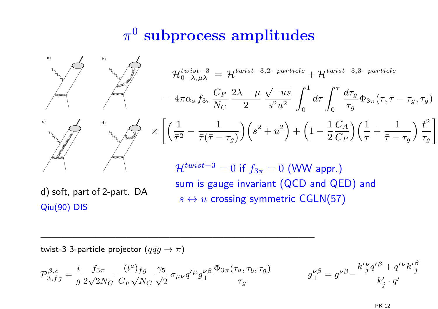# $\pi^0$  subprocess amplitudes



Qiu(90) DIS

twist-3 3-particle projector  $(q\bar qg\to\pi)$ 

$$
\mathcal{P}_{3,fg}^{\beta,c} = \frac{i}{g} \frac{f_{3\pi}}{2\sqrt{2N_C}} \frac{(t^c)_{fg}}{C_F \sqrt{N_C}} \frac{\gamma_5}{\sqrt{2}} \sigma_{\mu\nu} q'^{\mu} g_{\perp}^{\nu\beta} \frac{\Phi_{3\pi}(\tau_a, \tau_b, \tau_g)}{\tau_g} \qquad g_{\perp}^{\nu\beta} = g^{\nu\beta} - \frac{k'^{\nu} g'^{\beta} + q'^{\nu} k'^{\beta}_j}{k'_j \cdot q'}
$$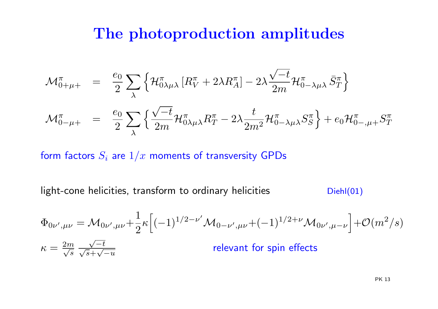#### The <sup>p</sup>hotoproduction amplitudes

$$
\mathcal{M}_{0+\mu+}^{\pi} = \frac{e_0}{2} \sum_{\lambda} \left\{ \mathcal{H}_{0\lambda\mu\lambda}^{\pi} \left[ R_V^{\pi} + 2\lambda R_A^{\pi} \right] - 2\lambda \frac{\sqrt{-t}}{2m} \mathcal{H}_{0-\lambda\mu\lambda}^{\pi} \bar{S}_T^{\pi} \right\}
$$

$$
\mathcal{M}_{0-\mu+}^{\pi} = \frac{e_0}{2} \sum_{\lambda} \left\{ \frac{\sqrt{-t}}{2m} \mathcal{H}_{0\lambda\mu\lambda}^{\pi} R_T^{\pi} - 2\lambda \frac{t}{2m^2} \mathcal{H}_{0-\lambda\mu\lambda}^{\pi} S_S^{\pi} \right\} + e_0 \mathcal{H}_{0-\mu+}^{\pi} S_T^{\pi}
$$

form factors  $S_i$  are  $1/x$  moments of transversity GPDs

 $light-cone$  helicities, transform to ordinary helicities  $Diehl(01)$ 

$$
\Phi_{0\nu',\mu\nu} = \mathcal{M}_{0\nu',\mu\nu} + \frac{1}{2} \kappa \Big[ (-1)^{1/2 - \nu'} \mathcal{M}_{0-\nu',\mu\nu} + (-1)^{1/2 + \nu} \mathcal{M}_{0\nu',\mu-\nu} \Big] + \mathcal{O}(m^2/s)
$$
\n
$$
\kappa = \frac{2m}{\sqrt{s}} \frac{\sqrt{-t}}{\sqrt{s} + \sqrt{-u}}
$$
\nrelevant for spin effects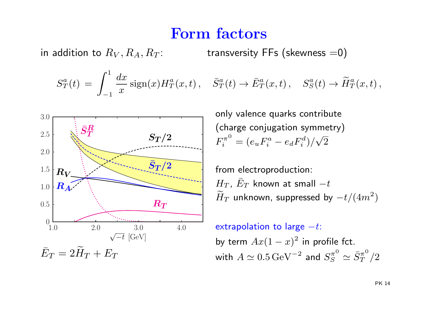#### Form factors

in addition to  $R_V, R_A, R_T$ : transversity FFs (skewness  $=$  0)

$$
S_T^a(t) = \int_{-1}^1 \frac{dx}{x} \operatorname{sign}(x) H_T^a(x,t), \quad \bar{S}_T^a(t) \to \bar{E}_T^a(x,t), \quad S_S^a(t) \to \widetilde{H}_T^a(x,t),
$$



only valence quarks contribute (charge conjugation symmetry)  $F_i^{\pi^0} = (e_u F_i^a - e_d F_i^d)/\sqrt{2}$ 

from electroproduction:  $\frac{H_T}{\sim}$   $\bar{E}_T$  known at small  $-t$  $\widetilde{H}$  $\scriptstyle T$  $\tau_T$  unknown, suppressed by  $-t/(4m^2)$ 

extrapolation to large  $-t$ : by term  $Ax(1-x)^2$  in profile fct. with  $A\simeq 0.5\,{\rm GeV}^{-2}$  and  $S_S^{\pi^0}\simeq \bar{S}_T^{\pi^0}/2$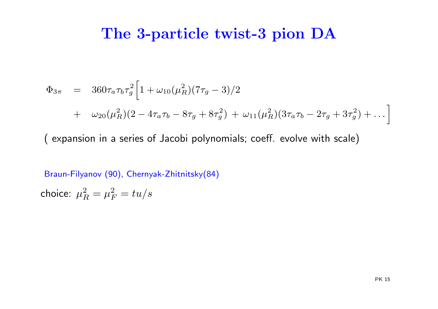#### The 3-particle twist-3 <sup>p</sup>ion DA

$$
\Phi_{3\pi} = 360\tau_a \tau_b \tau_g^2 \left[ 1 + \omega_{10} (\mu_R^2)(7\tau_g - 3)/2 + \omega_{20} (\mu_R^2)(2 - 4\tau_a \tau_b - 8\tau_g + 8\tau_g^2) + \omega_{11} (\mu_R^2)(3\tau_a \tau_b - 2\tau_g + 3\tau_g^2) + \dots \right]
$$

( expansion in <sup>a</sup> series of Jacobi polynomials; coeff. evolve with scale)

Braun-Filyanov (90), Chernyak-Zhitnitsky(84)

choice:  $\mu_{I}^{2}$  $R^2=R^2_F$  $\frac{2}{F}= tu/s$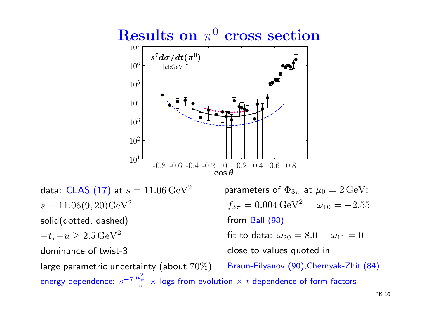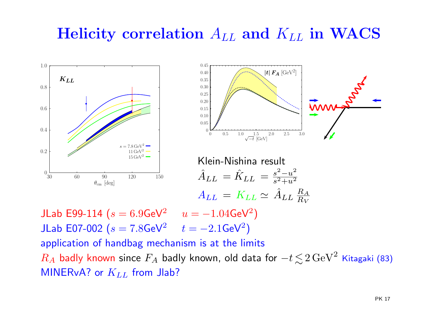# Helicity correlation  $A_{LL}$  and  $K_{LL}$  in WACS





Klein-Nishina result  $\hat{A}_{LL}=\hat{K}_{LL}=\frac{s}{s}$  $A_{LL}\,=\,K_{LL}\simeq\,\hat{A}_{LL}\,\frac{R}{R}$ 2 $-u$ 2 $s^2+u^2$ A $R_V$ 

JLab E99-114 ( $s=6.9$ GeV $^2$ JLab E07-002 ( $s=7.8$ GeV $^2$   $t=-2.1$ GeV $^{\circ}$  $u=-1.04$ GeV $^2$  $^{2})$  application of handbag mechanism is at the limits  $t=-2.1$ GeV $^2$  $^2)$  $R_A$  badly known since  $F_A$  badly known, old data for  $\mathsf{MINERvA?}$  or  $K_{LL}$  from Jlab?  $-t$   $<$ ∼ $\lesssim\!2\,\text{GeV}^2$  Kitagaki (83)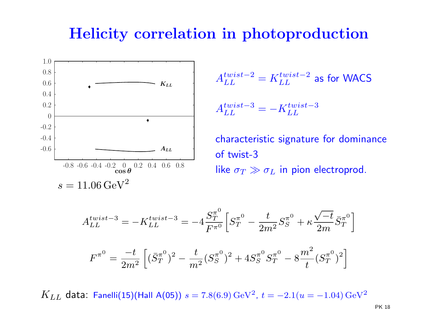#### Helicity correlation in <sup>p</sup>hotoproduction



$$
A_{LL}^{twist-2} = K_{LL}^{twist-2}
$$
 as for WACS  

$$
A_{LL}^{twist-3} = -K_{LL}^{twist-3}
$$

characteristic signature for dominance of twist-3 like  $\sigma_T\gg\sigma_L$  in pion electroprod.

$$
A_{LL}^{twist-3} = -K_{LL}^{twist-3} = -4\frac{S_T^{\pi^0}}{F^{\pi^0}} \left[ S_T^{\pi^0} - \frac{t}{2m^2} S_S^{\pi^0} + \kappa \frac{\sqrt{-t}}{2m} \bar{S}_T^{\pi^0} \right]
$$

$$
F^{\pi^0} = \frac{-t}{2m^2} \left[ (\bar{S}_T^{\pi^0})^2 - \frac{t}{m^2} (S_S^{\pi^0})^2 + 4S_S^{\pi^0} S_T^{\pi^0} - 8\frac{m^2}{t} (S_T^{\pi^0})^2 \right]
$$

 $K_{LL}$  data: Fanelli $(15)$ (Hall A $(05)$ )  $s=7.8(6.9)\,\rm{GeV^2}$ <sup>2</sup>, t =  $-2.1(u=-1.04)$  GeV<sup>2</sup>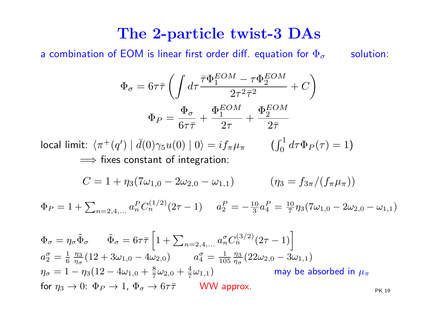#### The 2-particle twist-3 DAs

a combination of EOM is linear first order diff. equation for  $\Phi_{\sigma}$ 

solution:

$$
\Phi_{\sigma} = 6\tau\bar{\tau} \left( \int d\tau \frac{\bar{\tau}\Phi_1^{EOM} - \tau\Phi_2^{EOM}}{2\tau^2\bar{\tau}^2} + C \right)
$$

$$
\Phi_P = \frac{\Phi_{\sigma}}{6\tau\bar{\tau}} + \frac{\Phi_1^{EOM}}{2\tau} + \frac{\Phi_2^{EOM}}{2\bar{\tau}}
$$

local limit:  $\langle \pi^+(q') \mid \bar{d}(0) \gamma_5 u(0) \mid 0 \rangle = i f_\pi \mu_\pi$  (  $\int_0^1$  $\Longrightarrow$  fixes constant of integration:  $\int_{0}^{1} d\tau \Phi_{P}(\tau) = 1$ 

$$
C = 1 + \eta_3 (7\omega_{1,0} - 2\omega_{2,0} - \omega_{1,1}) \qquad (\eta_3 = f_{3\pi}/(f_{\pi}\mu_{\pi}))
$$

 $\Phi_P = 1 + \sum_{n=2,4,...} a$  $\, P \,$  ${P \over n} C_n^{(1/2)}$  $\binom{1}{2}^{(1/2)}(2\tau \left( -1\right)$  a  $\, P \,$  $\frac{P}{2}=-\frac{10}{3}a$  $\, P \,$  $_4^P=\frac{10}{7}$  $\frac{10}{7}\eta_3(7\omega_{1,0}-2\omega_{2,0}-\omega_{1,1})$ 

$$
\Phi_{\sigma} = \eta_{\sigma} \tilde{\Phi}_{\sigma} \qquad \tilde{\Phi}_{\sigma} = 6\tau \bar{\tau} \left[ 1 + \sum_{n=2,4,...} a_{n}^{\sigma} C_{n}^{(3/2)} (2\tau - 1) \right]
$$
\n
$$
a_{2}^{\sigma} = \frac{1}{6} \frac{\eta_{3}}{\eta_{\sigma}} (12 + 3\omega_{1,0} - 4\omega_{2,0}) \qquad a_{4}^{\sigma} = \frac{1}{105} \frac{\eta_{3}}{\eta_{\sigma}} (22\omega_{2,0} - 3\omega_{1,1})
$$
\n
$$
\eta_{\sigma} = 1 - \eta_{3} (12 - 4\omega_{1,0} + \frac{8}{7} \omega_{2,0} + \frac{4}{7} \omega_{1,1}) \qquad \text{may be absorbed in } \mu_{\pi}
$$
\nfor  $\eta_{3} \to 0: \Phi_{P} \to 1, \Phi_{\sigma} \to 6\tau \bar{\tau}$  WWW approx.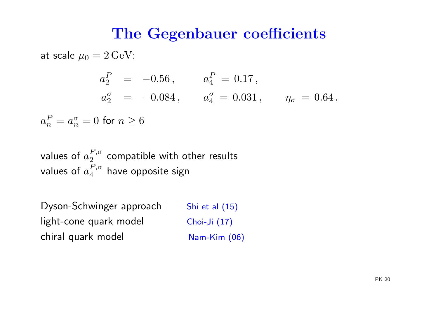#### The Gegenbauer coefficients

at scale  $\mu_0=2\,{\rm GeV}$ :

 $\, n \,$ 

 $a^P$ 

 $\it a$  $\, P \,$  $a_2^P$  =  $-0.56$ ,  $a_4^P$  $\, P \,$  4 $_4^F = 0.17$ ,  $a_{\mathbf{0}}^{\sigma}$  $a_2^{\sigma}$  = -0.084,  $a_4^{\sigma}$  4 $\frac{\sigma}{4} = 0.031 \, , \qquad \eta_c$ σ $_{\sigma} \, = \, 0.64$  .  $n_{n}^{P}=a_{n}^{\sigma}$  $\frac{\sigma}{n} = 0$  for  $n \geq 6$ 

values of  $a_2^{P,\sigma}$  $\frac{1}{2}$ , $\frac{1}{2}$  compatible with other results values of  $a_4^{P,\sigma}$  $\frac{1}{4}$ , $^{\prime}$  have opposite sign

Dyson-Schwinger approach Shi et al (15) light-cone quark model Choi-Ji (17) chiral quark model Nam-Kim (06)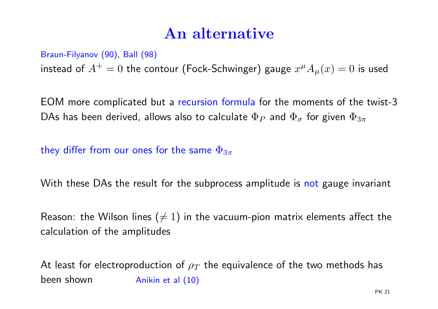### An alternative

#### Braun-Filyanov (90), Ball (98)

instead of  $A^+=0$  the contour (Fock-Schwinger) gauge  $x^{\mu}A_{\mu}(x)=0$  is used

EOM more complicated but <sup>a</sup> recursion formula for the moments of the twist-3 DAs has been derived, allows also to calculate  $\Phi_P$  and  $\Phi_\sigma$  for given  $\Phi_{3\pi}$ 

they differ from our ones for the same  $\Phi_{3\pi}$ 

With these DAs the result for the subprocess amplitude is not gauge invariant

Reason: the Wilson lines  $(\neq 1)$  in the vacuum-pion matrix elements affect the calculation of the amplitudes

At least for electroproduction of  $\rho_T$  the equivalence of the two methods has been shownAnikin et al (10)